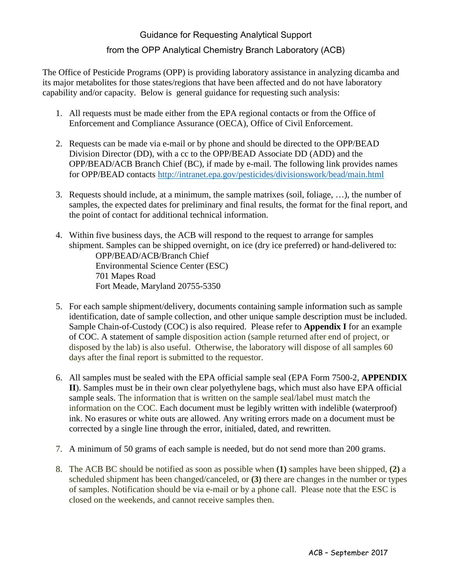## Guidance for Requesting Analytical Support

## from the OPP Analytical Chemistry Branch Laboratory (ACB)

The Office of Pesticide Programs (OPP) is providing laboratory assistance in analyzing dicamba and its major metabolites for those states/regions that have been affected and do not have laboratory capability and/or capacity. Below is general guidance for requesting such analysis:

- 1. All requests must be made either from the EPA regional contacts or from the Office of Enforcement and Compliance Assurance (OECA), Office of Civil Enforcement.
- 2. Requests can be made via e-mail or by phone and should be directed to the OPP/BEAD Division Director (DD), with a cc to the OPP/BEAD Associate DD (ADD) and the OPP/BEAD/ACB Branch Chief (BC), if made by e-mail. The following link provides names for OPP/BEAD contacts<http://intranet.epa.gov/pesticides/divisionswork/bead/main.html>
- 3. Requests should include, at a minimum, the sample matrixes (soil, foliage, …), the number of samples, the expected dates for preliminary and final results, the format for the final report, and the point of contact for additional technical information.
- 4. Within five business days, the ACB will respond to the request to arrange for samples shipment. Samples can be shipped overnight, on ice (dry ice preferred) or hand-delivered to: OPP/BEAD/ACB/Branch Chief Environmental Science Center (ESC) 701 Mapes Road Fort Meade, Maryland 20755-5350
- 5. For each sample shipment/delivery, documents containing sample information such as sample identification, date of sample collection, and other unique sample description must be included. Sample Chain-of-Custody (COC) is also required. Please refer to **Appendix I** for an example of COC. A statement of sample disposition action (sample returned after end of project, or disposed by the lab) is also useful. Otherwise, the laboratory will dispose of all samples 60 days after the final report is submitted to the requestor.
- 6. All samples must be sealed with the EPA official sample seal (EPA Form 7500-2, **APPENDIX II**). Samples must be in their own clear polyethylene bags, which must also have EPA official sample seals. The information that is written on the sample seal/label must match the information on the COC. Each document must be legibly written with indelible (waterproof) ink. No erasures or white outs are allowed. Any writing errors made on a document must be corrected by a single line through the error, initialed, dated, and rewritten.
- 7. A minimum of 50 grams of each sample is needed, but do not send more than 200 grams.
- 8. The ACB BC should be notified as soon as possible when **(1)** samples have been shipped, **(2)** a scheduled shipment has been changed/canceled, or **(3)** there are changes in the number or types of samples. Notification should be via e-mail or by a phone call. Please note that the ESC is closed on the weekends, and cannot receive samples then.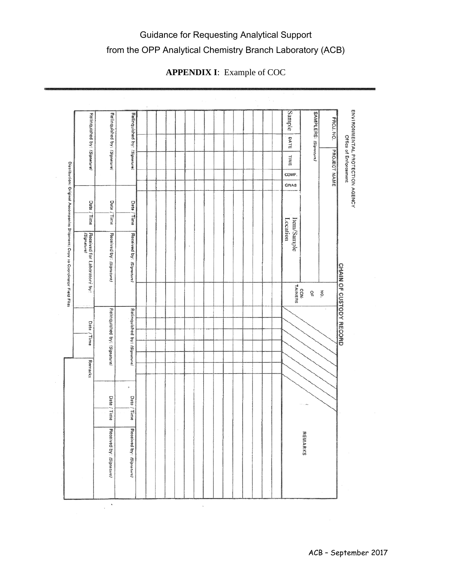

**APPENDIX I**: Example of COC

from the OPP Analytical Chemistry Branch Laboratory (ACB)

## ACB – September 2017